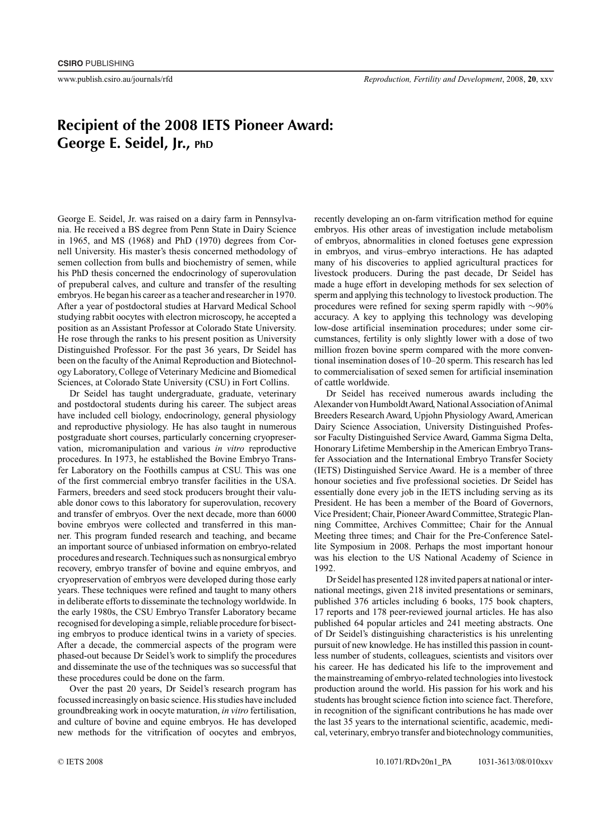## **Recipient of the 2008 IETS Pioneer Award: George E. Seidel, Jr., PhD**

George E. Seidel, Jr. was raised on a dairy farm in Pennsylvania. He received a BS degree from Penn State in Dairy Science in 1965, and MS (1968) and PhD (1970) degrees from Cornell University. His master's thesis concerned methodology of semen collection from bulls and biochemistry of semen, while his PhD thesis concerned the endocrinology of superovulation of prepuberal calves, and culture and transfer of the resulting embryos. He began his career as a teacher and researcher in 1970. After a year of postdoctoral studies at Harvard Medical School studying rabbit oocytes with electron microscopy, he accepted a position as an Assistant Professor at Colorado State University. He rose through the ranks to his present position as University Distinguished Professor. For the past 36 years, Dr Seidel has been on the faculty of the Animal Reproduction and Biotechnology Laboratory, College of Veterinary Medicine and Biomedical Sciences, at Colorado State University (CSU) in Fort Collins.

Dr Seidel has taught undergraduate, graduate, veterinary and postdoctoral students during his career. The subject areas have included cell biology, endocrinology, general physiology and reproductive physiology. He has also taught in numerous postgraduate short courses, particularly concerning cryopreservation, micromanipulation and various *in vitro* reproductive procedures. In 1973, he established the Bovine Embryo Transfer Laboratory on the Foothills campus at CSU. This was one of the first commercial embryo transfer facilities in the USA. Farmers, breeders and seed stock producers brought their valuable donor cows to this laboratory for superovulation, recovery and transfer of embryos. Over the next decade, more than 6000 bovine embryos were collected and transferred in this manner. This program funded research and teaching, and became an important source of unbiased information on embryo-related procedures and research.Techniques such as nonsurgical embryo recovery, embryo transfer of bovine and equine embryos, and cryopreservation of embryos were developed during those early years. These techniques were refined and taught to many others in deliberate efforts to disseminate the technology worldwide. In the early 1980s, the CSU Embryo Transfer Laboratory became recognised for developing a simple, reliable procedure for bisecting embryos to produce identical twins in a variety of species. After a decade, the commercial aspects of the program were phased-out because Dr Seidel's work to simplify the procedures and disseminate the use of the techniques was so successful that these procedures could be done on the farm.

Over the past 20 years, Dr Seidel's research program has focussed increasingly on basic science. His studies have included groundbreaking work in oocyte maturation, *in vitro* fertilisation, and culture of bovine and equine embryos. He has developed new methods for the vitrification of oocytes and embryos, recently developing an on-farm vitrification method for equine embryos. His other areas of investigation include metabolism of embryos, abnormalities in cloned foetuses gene expression in embryos, and virus–embryo interactions. He has adapted many of his discoveries to applied agricultural practices for livestock producers. During the past decade, Dr Seidel has made a huge effort in developing methods for sex selection of sperm and applying this technology to livestock production. The procedures were refined for sexing sperm rapidly with ∼90% accuracy. A key to applying this technology was developing low-dose artificial insemination procedures; under some circumstances, fertility is only slightly lower with a dose of two million frozen bovine sperm compared with the more conventional insemination doses of 10–20 sperm. This research has led to commercialisation of sexed semen for artificial insemination of cattle worldwide.

Dr Seidel has received numerous awards including the Alexander von HumboldtAward, NationalAssociation ofAnimal Breeders Research Award, Upjohn Physiology Award, American Dairy Science Association, University Distinguished Professor Faculty Distinguished Service Award, Gamma Sigma Delta, Honorary Lifetime Membership in the American Embryo Transfer Association and the International Embryo Transfer Society (IETS) Distinguished Service Award. He is a member of three honour societies and five professional societies. Dr Seidel has essentially done every job in the IETS including serving as its President. He has been a member of the Board of Governors, Vice President; Chair, PioneerAward Committee, Strategic Planning Committee, Archives Committee; Chair for the Annual Meeting three times; and Chair for the Pre-Conference Satellite Symposium in 2008. Perhaps the most important honour was his election to the US National Academy of Science in 1992.

Dr Seidel has presented 128 invited papers at national or international meetings, given 218 invited presentations or seminars, published 376 articles including 6 books, 175 book chapters, 17 reports and 178 peer-reviewed journal articles. He has also published 64 popular articles and 241 meeting abstracts. One of Dr Seidel's distinguishing characteristics is his unrelenting pursuit of new knowledge. He has instilled this passion in countless number of students, colleagues, scientists and visitors over his career. He has dedicated his life to the improvement and the mainstreaming of embryo-related technologies into livestock production around the world. His passion for his work and his students has brought science fiction into science fact. Therefore, in recognition of the significant contributions he has made over the last 35 years to the international scientific, academic, medical, veterinary, embryo transfer and biotechnology communities,